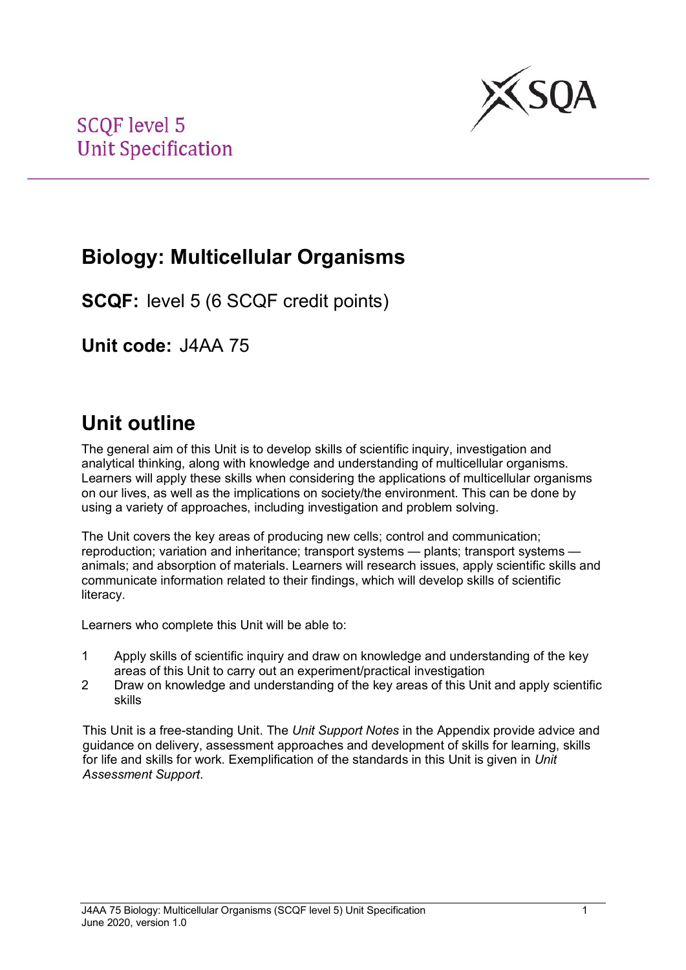

## **Biology: Multicellular Organisms**

**SCQF:** level 5 (6 SCQF credit points)

**Unit code:** J4AA 75

# **Unit outline**

The general aim of this Unit is to develop skills of scientific inquiry, investigation and analytical thinking, along with knowledge and understanding of multicellular organisms. Learners will apply these skills when considering the applications of multicellular organisms on our lives, as well as the implications on society/the environment. This can be done by using a variety of approaches, including investigation and problem solving.

The Unit covers the key areas of producing new cells; control and communication; reproduction; variation and inheritance; transport systems — plants; transport systems animals; and absorption of materials. Learners will research issues, apply scientific skills and communicate information related to their findings, which will develop skills of scientific literacy.

Learners who complete this Unit will be able to:

- 1 Apply skills of scientific inquiry and draw on knowledge and understanding of the key areas of this Unit to carry out an experiment/practical investigation
- 2 Draw on knowledge and understanding of the key areas of this Unit and apply scientific skills

This Unit is a free-standing Unit. The *Unit Support Notes* in the Appendix provide advice and guidance on delivery, assessment approaches and development of skills for learning, skills for life and skills for work. Exemplification of the standards in this Unit is given in *Unit Assessment Support*.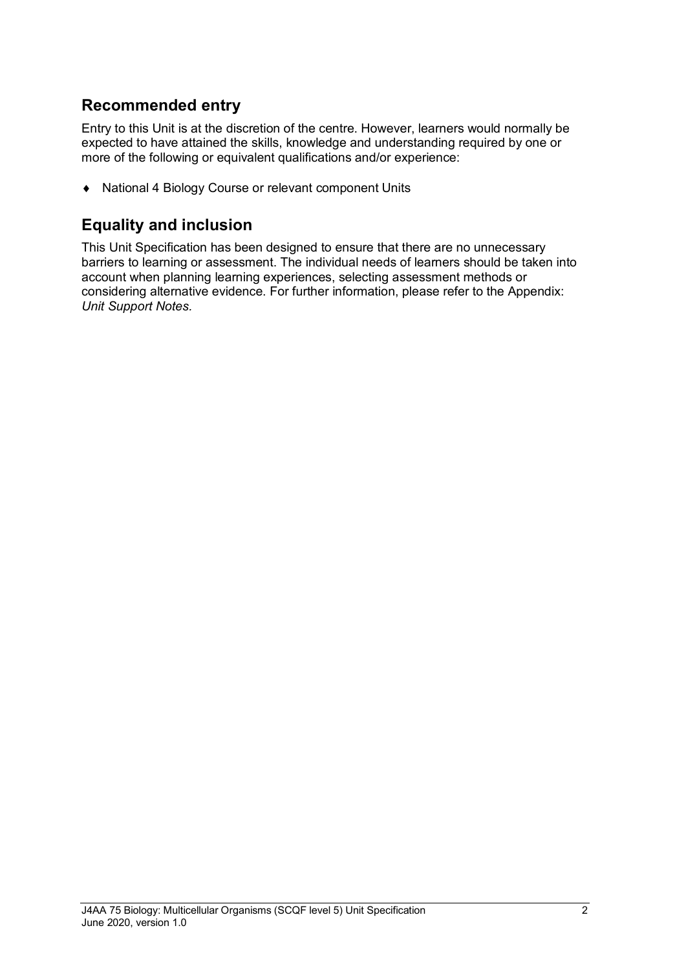### **Recommended entry**

Entry to this Unit is at the discretion of the centre. However, learners would normally be expected to have attained the skills, knowledge and understanding required by one or more of the following or equivalent qualifications and/or experience:

♦ National 4 Biology Course or relevant component Units

### **Equality and inclusion**

This Unit Specification has been designed to ensure that there are no unnecessary barriers to learning or assessment. The individual needs of learners should be taken into account when planning learning experiences, selecting assessment methods or considering alternative evidence. For further information, please refer to the Appendix: *Unit Support Notes.*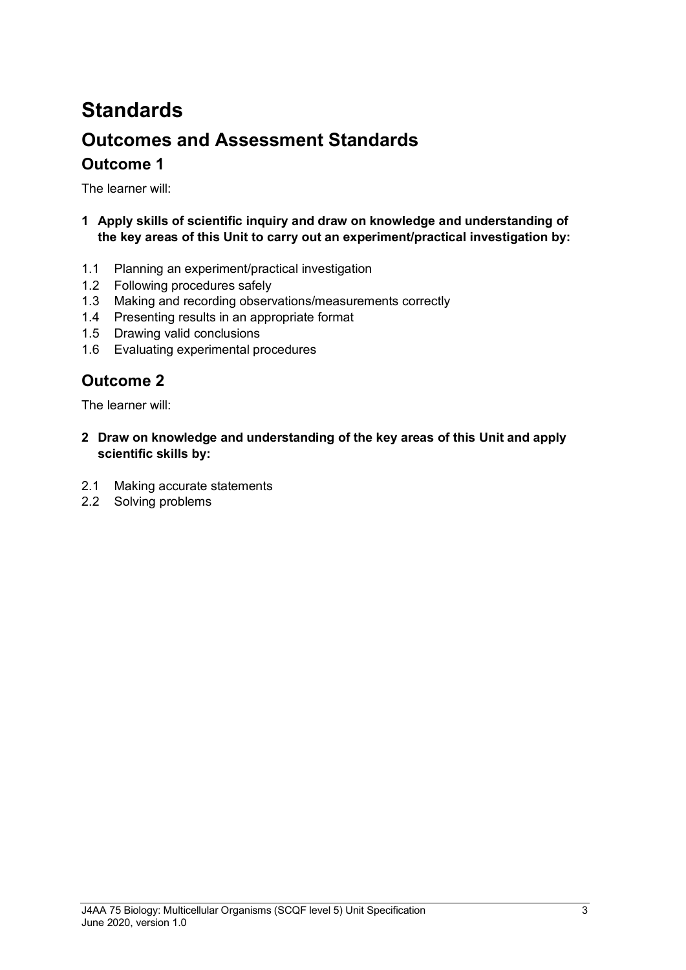# **Standards Outcomes and Assessment Standards Outcome 1**

The learner will:

- **1 Apply skills of scientific inquiry and draw on knowledge and understanding of the key areas of this Unit to carry out an experiment/practical investigation by:**
- 1.1 Planning an experiment/practical investigation
- 1.2 Following procedures safely
- 1.3 Making and recording observations/measurements correctly
- 1.4 Presenting results in an appropriate format
- 1.5 Drawing valid conclusions
- 1.6 Evaluating experimental procedures

### **Outcome 2**

The learner will:

- **2 Draw on knowledge and understanding of the key areas of this Unit and apply scientific skills by:**
- 2.1 Making accurate statements
- 2.2 Solving problems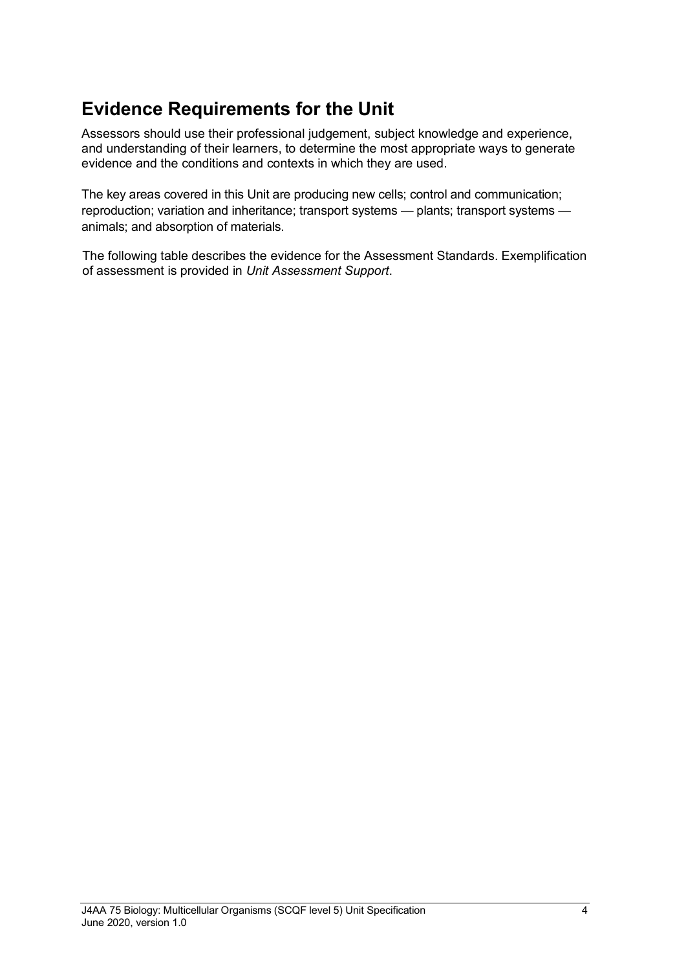### **Evidence Requirements for the Unit**

Assessors should use their professional judgement, subject knowledge and experience, and understanding of their learners, to determine the most appropriate ways to generate evidence and the conditions and contexts in which they are used.

The key areas covered in this Unit are producing new cells; control and communication; reproduction; variation and inheritance; transport systems — plants; transport systems animals; and absorption of materials.

The following table describes the evidence for the Assessment Standards. Exemplification of assessment is provided in *Unit Assessment Support*.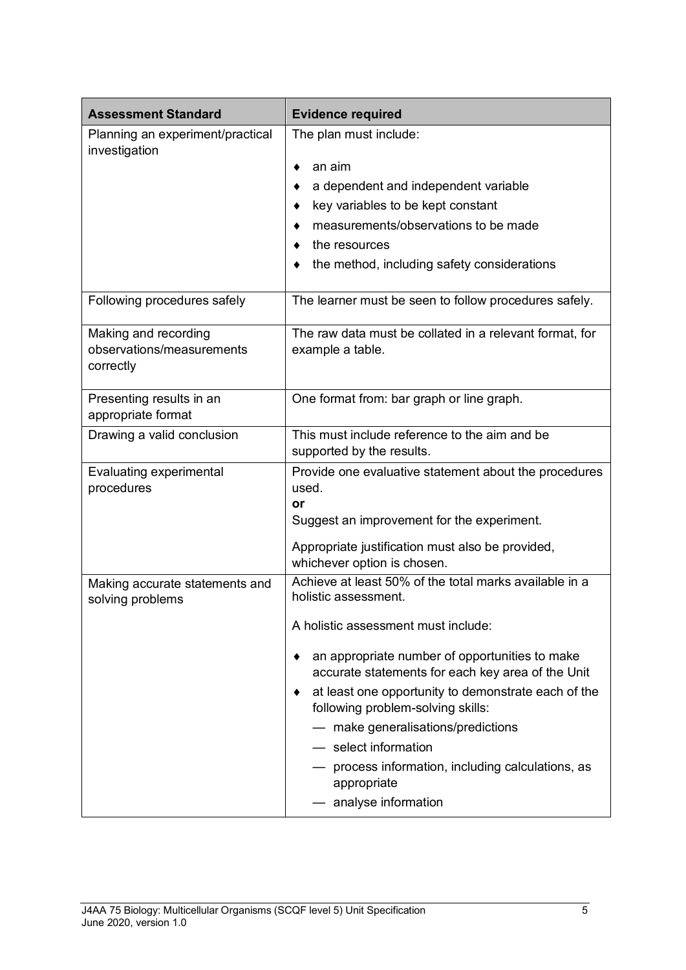| <b>Assessment Standard</b>                                     | <b>Evidence required</b>                                                                                                                                                                                                                                                                                                                                 |  |
|----------------------------------------------------------------|----------------------------------------------------------------------------------------------------------------------------------------------------------------------------------------------------------------------------------------------------------------------------------------------------------------------------------------------------------|--|
| Planning an experiment/practical<br>investigation              | The plan must include:<br>an aim<br>a dependent and independent variable<br>key variables to be kept constant<br>measurements/observations to be made<br>the resources<br>the method, including safety considerations                                                                                                                                    |  |
| Following procedures safely                                    | The learner must be seen to follow procedures safely.                                                                                                                                                                                                                                                                                                    |  |
| Making and recording<br>observations/measurements<br>correctly | The raw data must be collated in a relevant format, for<br>example a table.                                                                                                                                                                                                                                                                              |  |
| Presenting results in an<br>appropriate format                 | One format from: bar graph or line graph.                                                                                                                                                                                                                                                                                                                |  |
| Drawing a valid conclusion                                     | This must include reference to the aim and be<br>supported by the results.                                                                                                                                                                                                                                                                               |  |
| Evaluating experimental<br>procedures                          | Provide one evaluative statement about the procedures<br>used.<br>٥r<br>Suggest an improvement for the experiment.<br>Appropriate justification must also be provided,<br>whichever option is chosen.                                                                                                                                                    |  |
| Making accurate statements and<br>solving problems             | Achieve at least 50% of the total marks available in a<br>holistic assessment.<br>A holistic assessment must include:                                                                                                                                                                                                                                    |  |
|                                                                | an appropriate number of opportunities to make<br>accurate statements for each key area of the Unit<br>at least one opportunity to demonstrate each of the<br>following problem-solving skills:<br>- make generalisations/predictions<br>- select information<br>- process information, including calculations, as<br>appropriate<br>analyse information |  |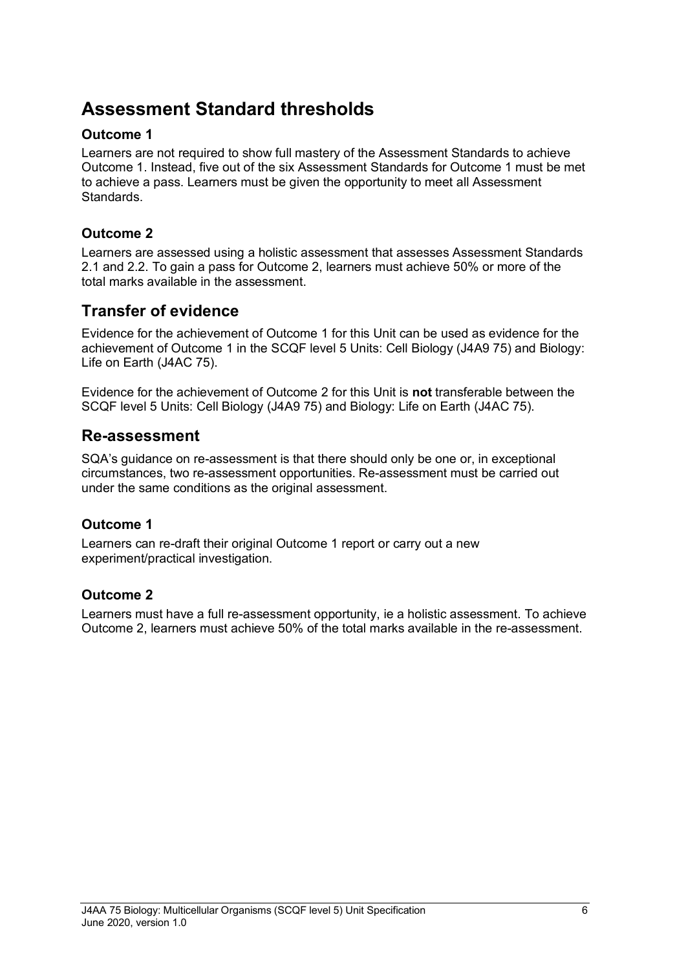### **Assessment Standard thresholds**

#### **Outcome 1**

Learners are not required to show full mastery of the Assessment Standards to achieve Outcome 1. Instead, five out of the six Assessment Standards for Outcome 1 must be met to achieve a pass. Learners must be given the opportunity to meet all Assessment Standards.

#### **Outcome 2**

Learners are assessed using a holistic assessment that assesses Assessment Standards 2.1 and 2.2. To gain a pass for Outcome 2, learners must achieve 50% or more of the total marks available in the assessment.

### **Transfer of evidence**

Evidence for the achievement of Outcome 1 for this Unit can be used as evidence for the achievement of Outcome 1 in the SCQF level 5 Units: Cell Biology (J4A9 75) and Biology: Life on Earth (J4AC 75).

Evidence for the achievement of Outcome 2 for this Unit is **not** transferable between the SCQF level 5 Units: Cell Biology (J4A9 75) and Biology: Life on Earth (J4AC 75).

#### **Re-assessment**

SQA's guidance on re-assessment is that there should only be one or, in exceptional circumstances, two re-assessment opportunities. Re-assessment must be carried out under the same conditions as the original assessment.

#### **Outcome 1**

Learners can re-draft their original Outcome 1 report or carry out a new experiment/practical investigation.

#### **Outcome 2**

Learners must have a full re-assessment opportunity, ie a holistic assessment. To achieve Outcome 2, learners must achieve 50% of the total marks available in the re-assessment.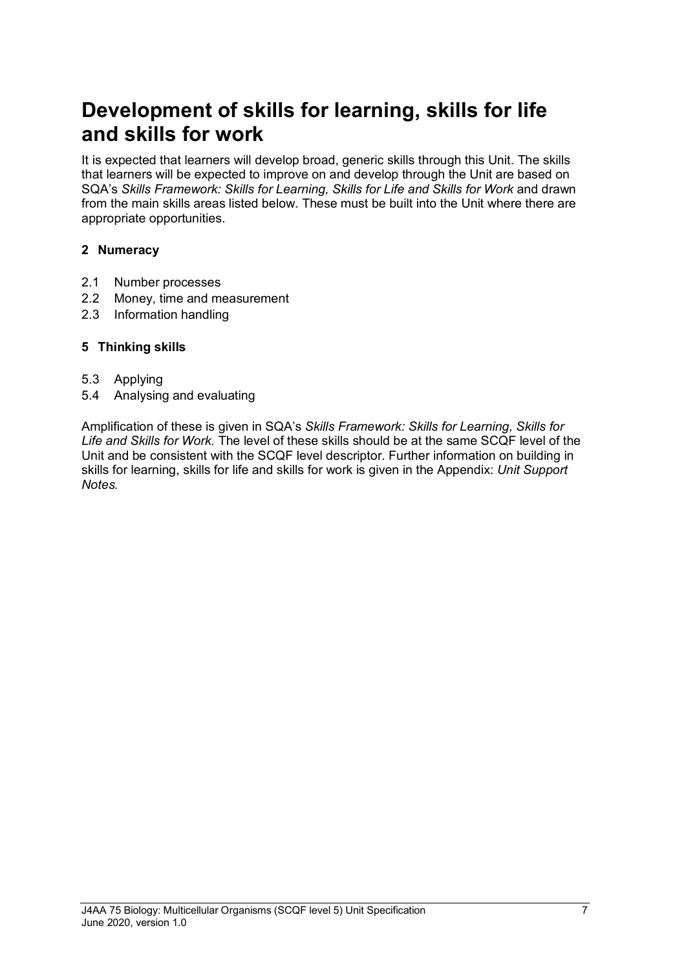# **Development of skills for learning, skills for life and skills for work**

It is expected that learners will develop broad, generic skills through this Unit. The skills that learners will be expected to improve on and develop through the Unit are based on SQA's *Skills Framework: Skills for Learning, Skills for Life and Skills for Work and drawn* from the main skills areas listed below. These must be built into the Unit where there are appropriate opportunities.

#### **2 Numeracy**

- 2.1 Number processes
- 2.2 Money, time and measurement
- 2.3 Information handling

#### **5 Thinking skills**

- 5.3 Applying
- 5.4 Analysing and evaluating

Amplification of these is given in SQA's *Skills Framework: Skills for Learning, Skills for Life and Skills for Work.* The level of these skills should be at the same SCQF level of the Unit and be consistent with the SCQF level descriptor. Further information on building in skills for learning, skills for life and skills for work is given in the Appendix: *Unit Support Notes.*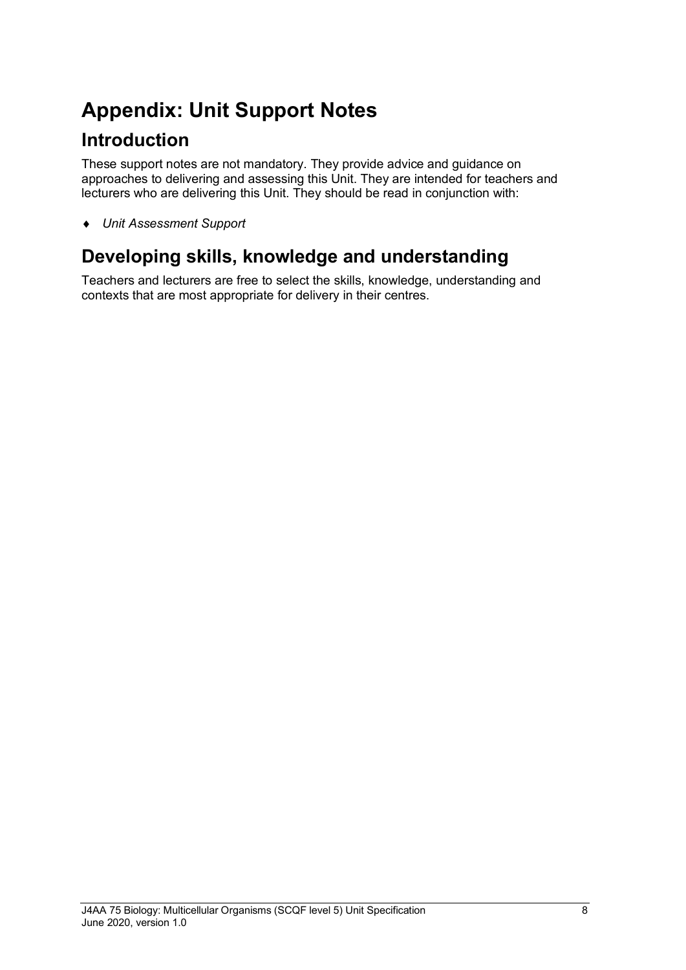# **Appendix: Unit Support Notes**

### **Introduction**

These support notes are not mandatory. They provide advice and guidance on approaches to delivering and assessing this Unit. They are intended for teachers and lecturers who are delivering this Unit. They should be read in conjunction with:

♦ *Unit Assessment Support* 

## **Developing skills, knowledge and understanding**

Teachers and lecturers are free to select the skills, knowledge, understanding and contexts that are most appropriate for delivery in their centres.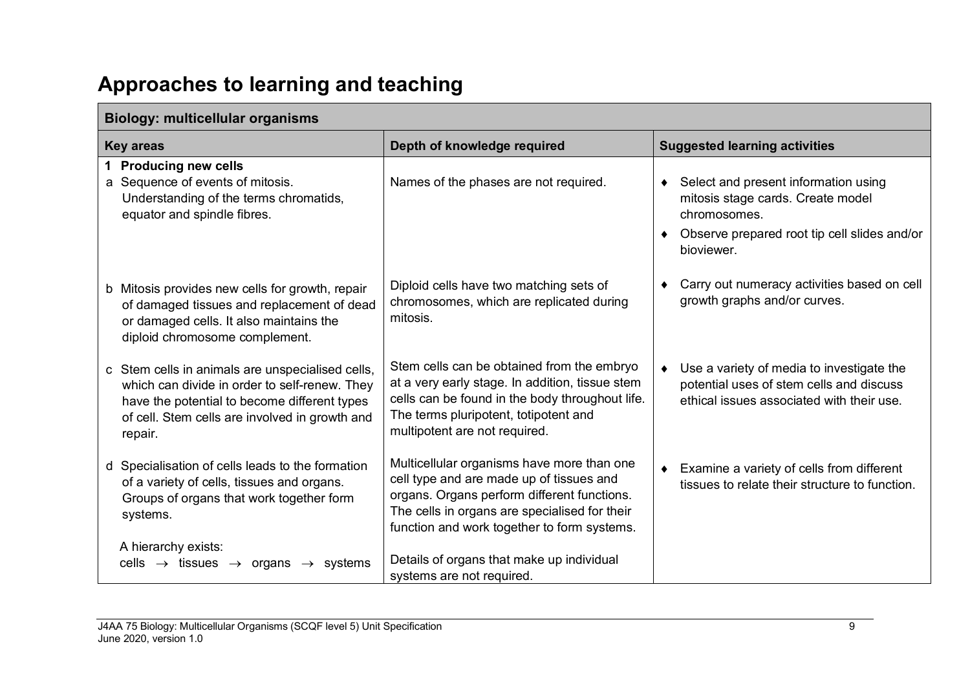# **Approaches to learning and teaching**

| <b>Key areas</b>                                                                                                                                                                                               | Depth of knowledge required                                                                                                                                                                                                           | <b>Suggested learning activities</b>                                                                                                                      |  |  |
|----------------------------------------------------------------------------------------------------------------------------------------------------------------------------------------------------------------|---------------------------------------------------------------------------------------------------------------------------------------------------------------------------------------------------------------------------------------|-----------------------------------------------------------------------------------------------------------------------------------------------------------|--|--|
| 1 Producing new cells<br>a Sequence of events of mitosis.<br>Understanding of the terms chromatids,<br>equator and spindle fibres.                                                                             | Names of the phases are not required.                                                                                                                                                                                                 | ♦ Select and present information using<br>mitosis stage cards. Create model<br>chromosomes.<br>Observe prepared root tip cell slides and/or<br>bioviewer. |  |  |
| b Mitosis provides new cells for growth, repair<br>of damaged tissues and replacement of dead<br>or damaged cells. It also maintains the<br>diploid chromosome complement.                                     | Diploid cells have two matching sets of<br>chromosomes, which are replicated during<br>mitosis.                                                                                                                                       | Carry out numeracy activities based on cell<br>growth graphs and/or curves.                                                                               |  |  |
| c Stem cells in animals are unspecialised cells,<br>which can divide in order to self-renew. They<br>have the potential to become different types<br>of cell. Stem cells are involved in growth and<br>repair. | Stem cells can be obtained from the embryo<br>at a very early stage. In addition, tissue stem<br>cells can be found in the body throughout life.<br>The terms pluripotent, totipotent and<br>multipotent are not required.            | Use a variety of media to investigate the<br>potential uses of stem cells and discuss<br>ethical issues associated with their use.                        |  |  |
| d Specialisation of cells leads to the formation<br>of a variety of cells, tissues and organs.<br>Groups of organs that work together form<br>systems.                                                         | Multicellular organisms have more than one<br>cell type and are made up of tissues and<br>organs. Organs perform different functions.<br>The cells in organs are specialised for their<br>function and work together to form systems. | Examine a variety of cells from different<br>tissues to relate their structure to function.                                                               |  |  |
| A hierarchy exists:<br>cells $\rightarrow$ tissues $\rightarrow$ organs $\rightarrow$ systems                                                                                                                  | Details of organs that make up individual<br>systems are not required.                                                                                                                                                                |                                                                                                                                                           |  |  |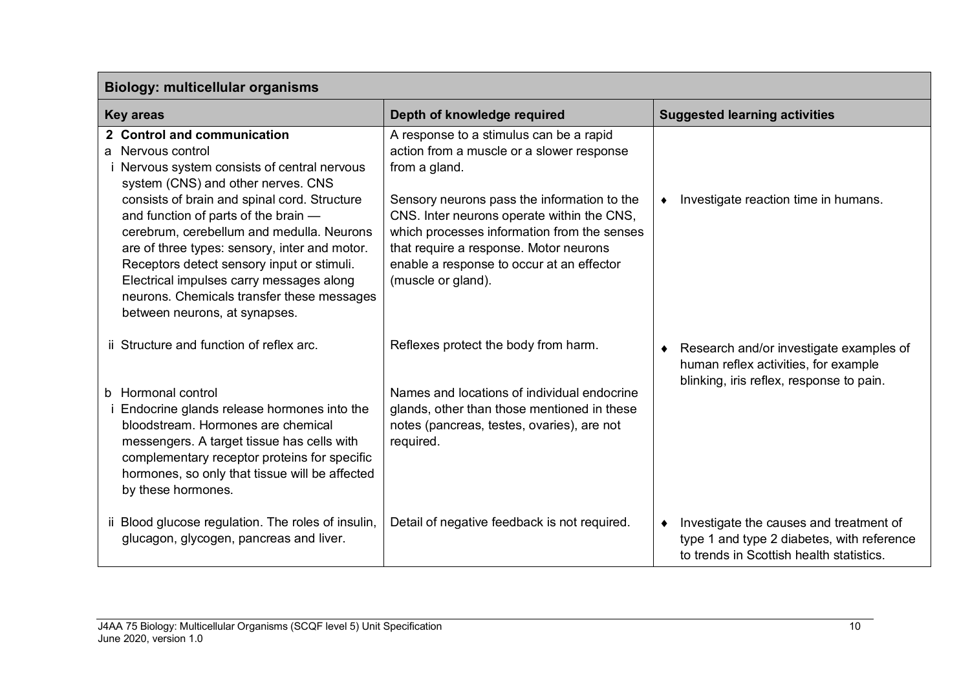| <b>Biology: multicellular organisms</b>                                                                                                                                                                                                                                                                                                                                                                                                                                                             |                                                                                                                                                                                                                                                                                                                                                                |                                                                                                                                   |  |
|-----------------------------------------------------------------------------------------------------------------------------------------------------------------------------------------------------------------------------------------------------------------------------------------------------------------------------------------------------------------------------------------------------------------------------------------------------------------------------------------------------|----------------------------------------------------------------------------------------------------------------------------------------------------------------------------------------------------------------------------------------------------------------------------------------------------------------------------------------------------------------|-----------------------------------------------------------------------------------------------------------------------------------|--|
| <b>Key areas</b>                                                                                                                                                                                                                                                                                                                                                                                                                                                                                    | Depth of knowledge required                                                                                                                                                                                                                                                                                                                                    | <b>Suggested learning activities</b>                                                                                              |  |
| 2 Control and communication<br>a Nervous control<br>Nervous system consists of central nervous<br>system (CNS) and other nerves. CNS<br>consists of brain and spinal cord. Structure<br>and function of parts of the brain -<br>cerebrum, cerebellum and medulla. Neurons<br>are of three types: sensory, inter and motor.<br>Receptors detect sensory input or stimuli.<br>Electrical impulses carry messages along<br>neurons. Chemicals transfer these messages<br>between neurons, at synapses. | A response to a stimulus can be a rapid<br>action from a muscle or a slower response<br>from a gland.<br>Sensory neurons pass the information to the<br>CNS. Inter neurons operate within the CNS,<br>which processes information from the senses<br>that require a response. Motor neurons<br>enable a response to occur at an effector<br>(muscle or gland). | Investigate reaction time in humans.                                                                                              |  |
| ii Structure and function of reflex arc.                                                                                                                                                                                                                                                                                                                                                                                                                                                            | Reflexes protect the body from harm.                                                                                                                                                                                                                                                                                                                           | Research and/or investigate examples of<br>human reflex activities, for example<br>blinking, iris reflex, response to pain.       |  |
| b Hormonal control<br>Endocrine glands release hormones into the<br>bloodstream. Hormones are chemical<br>messengers. A target tissue has cells with<br>complementary receptor proteins for specific<br>hormones, so only that tissue will be affected<br>by these hormones.                                                                                                                                                                                                                        | Names and locations of individual endocrine<br>glands, other than those mentioned in these<br>notes (pancreas, testes, ovaries), are not<br>required.                                                                                                                                                                                                          |                                                                                                                                   |  |
| ii Blood glucose regulation. The roles of insulin,<br>glucagon, glycogen, pancreas and liver.                                                                                                                                                                                                                                                                                                                                                                                                       | Detail of negative feedback is not required.                                                                                                                                                                                                                                                                                                                   | Investigate the causes and treatment of<br>type 1 and type 2 diabetes, with reference<br>to trends in Scottish health statistics. |  |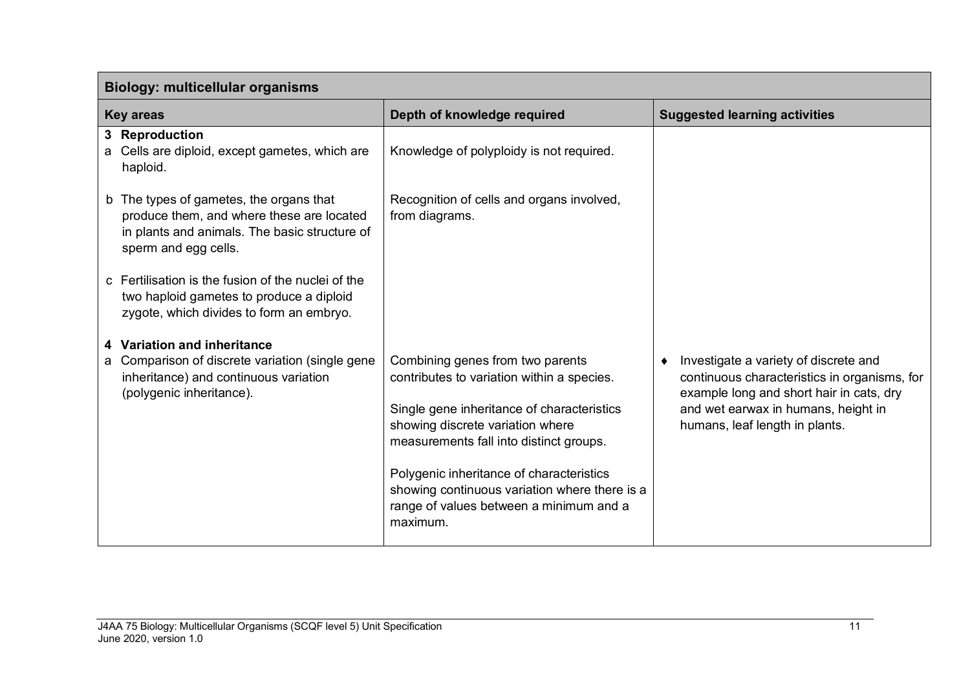| <b>Biology: multicellular organisms</b>                                                                                                                       |                                                                                                                                                                                                             |                                                                                                                                                                                                            |  |
|---------------------------------------------------------------------------------------------------------------------------------------------------------------|-------------------------------------------------------------------------------------------------------------------------------------------------------------------------------------------------------------|------------------------------------------------------------------------------------------------------------------------------------------------------------------------------------------------------------|--|
| <b>Key areas</b>                                                                                                                                              | Depth of knowledge required                                                                                                                                                                                 | <b>Suggested learning activities</b>                                                                                                                                                                       |  |
| 3 Reproduction<br>a Cells are diploid, except gametes, which are<br>haploid.                                                                                  | Knowledge of polyploidy is not required.                                                                                                                                                                    |                                                                                                                                                                                                            |  |
| b The types of gametes, the organs that<br>produce them, and where these are located<br>in plants and animals. The basic structure of<br>sperm and egg cells. | Recognition of cells and organs involved,<br>from diagrams.                                                                                                                                                 |                                                                                                                                                                                                            |  |
| c Fertilisation is the fusion of the nuclei of the<br>two haploid gametes to produce a diploid<br>zygote, which divides to form an embryo.                    |                                                                                                                                                                                                             |                                                                                                                                                                                                            |  |
| 4 Variation and inheritance                                                                                                                                   |                                                                                                                                                                                                             |                                                                                                                                                                                                            |  |
| a Comparison of discrete variation (single gene<br>inheritance) and continuous variation<br>(polygenic inheritance).                                          | Combining genes from two parents<br>contributes to variation within a species.<br>Single gene inheritance of characteristics<br>showing discrete variation where<br>measurements fall into distinct groups. | Investigate a variety of discrete and<br>continuous characteristics in organisms, for<br>example long and short hair in cats, dry<br>and wet earwax in humans, height in<br>humans, leaf length in plants. |  |
|                                                                                                                                                               | Polygenic inheritance of characteristics<br>showing continuous variation where there is a<br>range of values between a minimum and a<br>maximum.                                                            |                                                                                                                                                                                                            |  |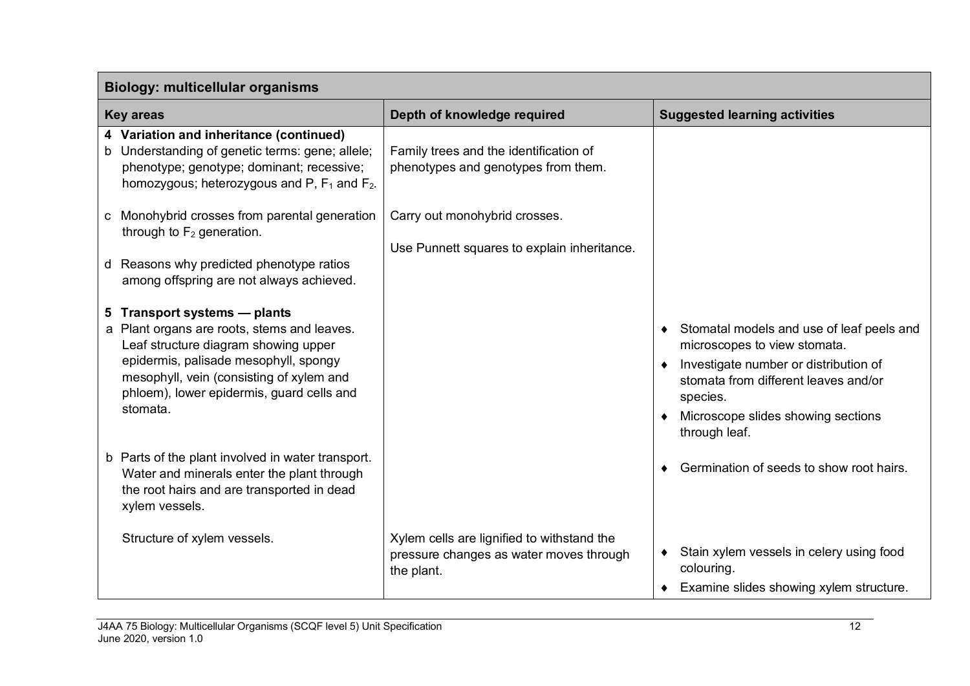| <b>Biology: multicellular organisms</b>                                                                                                                                                                                                                           |                                                                                                     |                                                                                                                                                                                                                                 |  |
|-------------------------------------------------------------------------------------------------------------------------------------------------------------------------------------------------------------------------------------------------------------------|-----------------------------------------------------------------------------------------------------|---------------------------------------------------------------------------------------------------------------------------------------------------------------------------------------------------------------------------------|--|
| <b>Key areas</b>                                                                                                                                                                                                                                                  | Depth of knowledge required                                                                         | <b>Suggested learning activities</b>                                                                                                                                                                                            |  |
| 4 Variation and inheritance (continued)<br>b Understanding of genetic terms: gene; allele;<br>phenotype; genotype; dominant; recessive;<br>homozygous; heterozygous and P, $F_1$ and $F_2$ .                                                                      | Family trees and the identification of<br>phenotypes and genotypes from them.                       |                                                                                                                                                                                                                                 |  |
| c Monohybrid crosses from parental generation<br>through to $F_2$ generation.<br>d Reasons why predicted phenotype ratios<br>among offspring are not always achieved.                                                                                             | Carry out monohybrid crosses.<br>Use Punnett squares to explain inheritance.                        |                                                                                                                                                                                                                                 |  |
| 5 Transport systems - plants<br>a Plant organs are roots, stems and leaves.<br>Leaf structure diagram showing upper<br>epidermis, palisade mesophyll, spongy<br>mesophyll, vein (consisting of xylem and<br>phloem), lower epidermis, guard cells and<br>stomata. |                                                                                                     | • Stomatal models and use of leaf peels and<br>microscopes to view stomata.<br>Investigate number or distribution of<br>stomata from different leaves and/or<br>species.<br>Microscope slides showing sections<br>through leaf. |  |
| b Parts of the plant involved in water transport.<br>Water and minerals enter the plant through<br>the root hairs and are transported in dead<br>xylem vessels.                                                                                                   |                                                                                                     | Germination of seeds to show root hairs.                                                                                                                                                                                        |  |
| Structure of xylem vessels.                                                                                                                                                                                                                                       | Xylem cells are lignified to withstand the<br>pressure changes as water moves through<br>the plant. | Stain xylem vessels in celery using food<br>colouring.<br>Examine slides showing xylem structure.                                                                                                                               |  |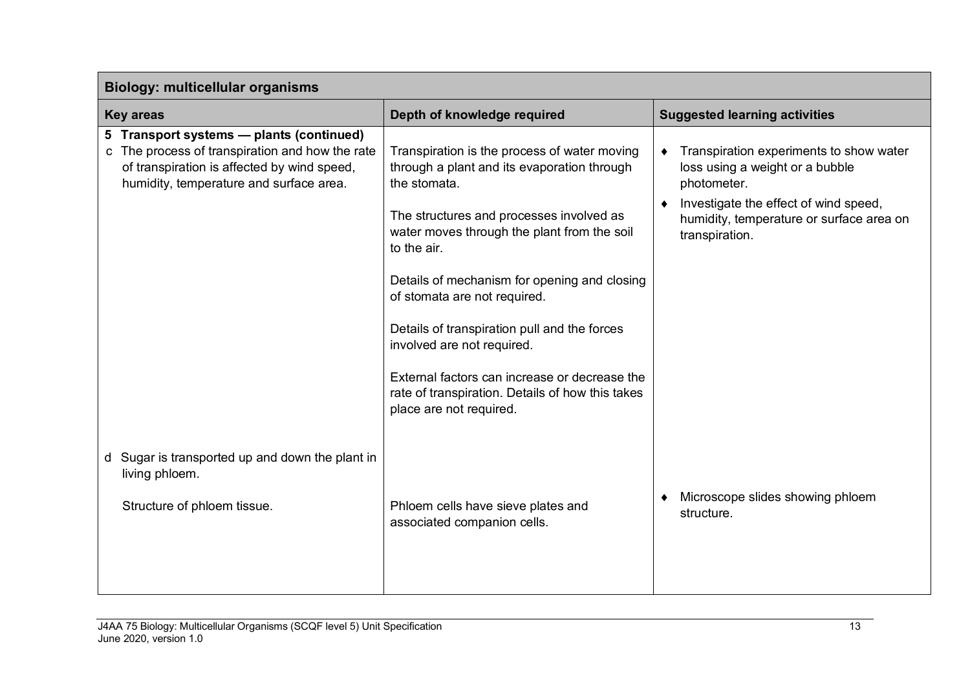| <b>Biology: multicellular organisms</b>                                                                                                                                               |                                                                                                                                                                                                                       |                                                                                                                                                                                                  |  |
|---------------------------------------------------------------------------------------------------------------------------------------------------------------------------------------|-----------------------------------------------------------------------------------------------------------------------------------------------------------------------------------------------------------------------|--------------------------------------------------------------------------------------------------------------------------------------------------------------------------------------------------|--|
| <b>Key areas</b>                                                                                                                                                                      | Depth of knowledge required                                                                                                                                                                                           | <b>Suggested learning activities</b>                                                                                                                                                             |  |
| 5 Transport systems - plants (continued)<br>c The process of transpiration and how the rate<br>of transpiration is affected by wind speed,<br>humidity, temperature and surface area. | Transpiration is the process of water moving<br>through a plant and its evaporation through<br>the stomata.<br>The structures and processes involved as<br>water moves through the plant from the soil<br>to the air. | Transpiration experiments to show water<br>loss using a weight or a bubble<br>photometer.<br>Investigate the effect of wind speed,<br>humidity, temperature or surface area on<br>transpiration. |  |
|                                                                                                                                                                                       | Details of mechanism for opening and closing<br>of stomata are not required.<br>Details of transpiration pull and the forces<br>involved are not required.<br>External factors can increase or decrease the           |                                                                                                                                                                                                  |  |
|                                                                                                                                                                                       | rate of transpiration. Details of how this takes<br>place are not required.                                                                                                                                           |                                                                                                                                                                                                  |  |
| Sugar is transported up and down the plant in<br>d<br>living phloem.                                                                                                                  |                                                                                                                                                                                                                       | Microscope slides showing phloem                                                                                                                                                                 |  |
| Structure of phloem tissue.                                                                                                                                                           | Phloem cells have sieve plates and<br>associated companion cells.                                                                                                                                                     | structure.                                                                                                                                                                                       |  |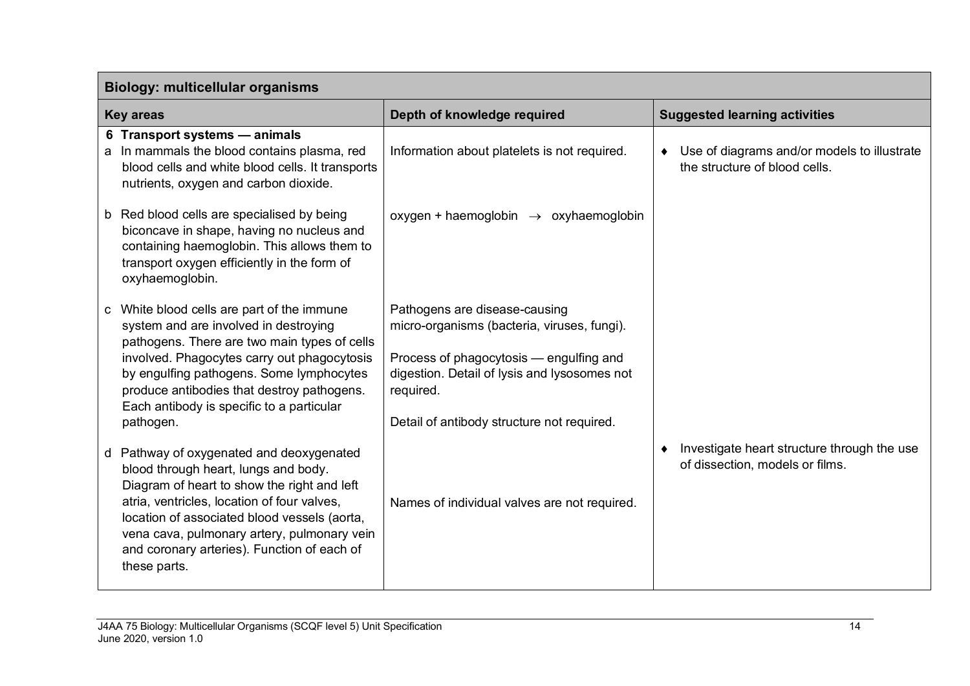| <b>Biology: multicellular organisms</b>                                                                                                                                                                                                                                                                                                      |                                                                                                                                                                                                                                    |                                                                                |
|----------------------------------------------------------------------------------------------------------------------------------------------------------------------------------------------------------------------------------------------------------------------------------------------------------------------------------------------|------------------------------------------------------------------------------------------------------------------------------------------------------------------------------------------------------------------------------------|--------------------------------------------------------------------------------|
| <b>Key areas</b>                                                                                                                                                                                                                                                                                                                             | Depth of knowledge required                                                                                                                                                                                                        | <b>Suggested learning activities</b>                                           |
| 6 Transport systems - animals<br>a In mammals the blood contains plasma, red<br>blood cells and white blood cells. It transports<br>nutrients, oxygen and carbon dioxide.                                                                                                                                                                    | Information about platelets is not required.                                                                                                                                                                                       | Use of diagrams and/or models to illustrate<br>the structure of blood cells.   |
| b Red blood cells are specialised by being<br>biconcave in shape, having no nucleus and<br>containing haemoglobin. This allows them to<br>transport oxygen efficiently in the form of<br>oxyhaemoglobin.                                                                                                                                     | oxygen + haemoglobin $\rightarrow$ oxyhaemoglobin                                                                                                                                                                                  |                                                                                |
| c White blood cells are part of the immune<br>system and are involved in destroying<br>pathogens. There are two main types of cells<br>involved. Phagocytes carry out phagocytosis<br>by engulfing pathogens. Some lymphocytes<br>produce antibodies that destroy pathogens.<br>Each antibody is specific to a particular<br>pathogen.       | Pathogens are disease-causing<br>micro-organisms (bacteria, viruses, fungi).<br>Process of phagocytosis - engulfing and<br>digestion. Detail of lysis and lysosomes not<br>required.<br>Detail of antibody structure not required. |                                                                                |
| d Pathway of oxygenated and deoxygenated<br>blood through heart, lungs and body.<br>Diagram of heart to show the right and left<br>atria, ventricles, location of four valves,<br>location of associated blood vessels (aorta,<br>vena cava, pulmonary artery, pulmonary vein<br>and coronary arteries). Function of each of<br>these parts. | Names of individual valves are not required.                                                                                                                                                                                       | Investigate heart structure through the use<br>of dissection, models or films. |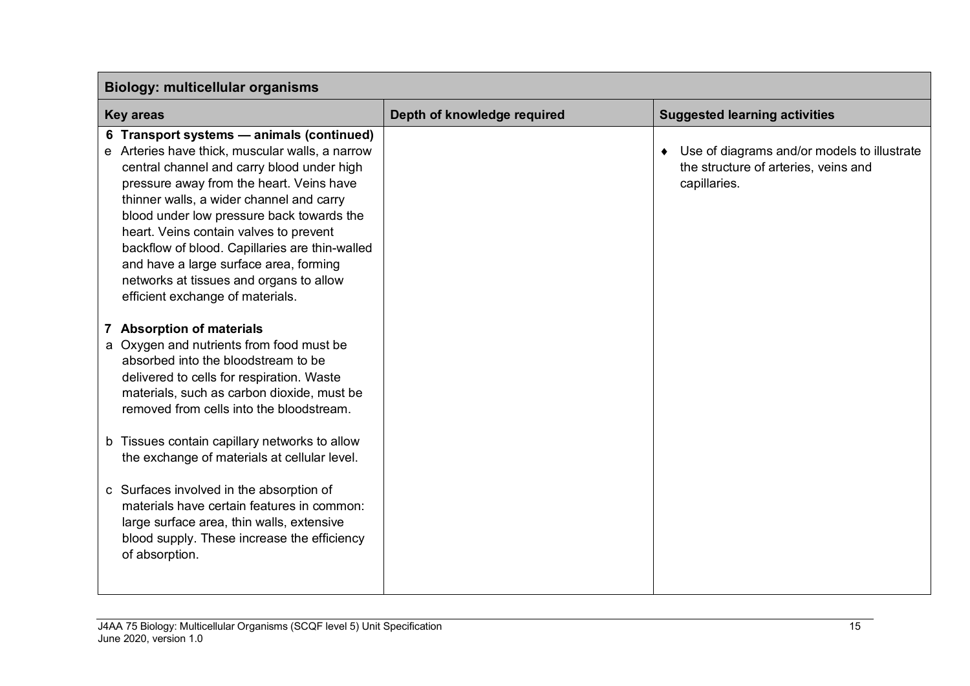| <b>Biology: multicellular organisms</b>                                                                                                                                                                                                                                                                                                                                                                                                                                                              |                             |                                                                                                     |
|------------------------------------------------------------------------------------------------------------------------------------------------------------------------------------------------------------------------------------------------------------------------------------------------------------------------------------------------------------------------------------------------------------------------------------------------------------------------------------------------------|-----------------------------|-----------------------------------------------------------------------------------------------------|
| <b>Key areas</b>                                                                                                                                                                                                                                                                                                                                                                                                                                                                                     | Depth of knowledge required | <b>Suggested learning activities</b>                                                                |
| 6 Transport systems - animals (continued)<br>e Arteries have thick, muscular walls, a narrow<br>central channel and carry blood under high<br>pressure away from the heart. Veins have<br>thinner walls, a wider channel and carry<br>blood under low pressure back towards the<br>heart. Veins contain valves to prevent<br>backflow of blood. Capillaries are thin-walled<br>and have a large surface area, forming<br>networks at tissues and organs to allow<br>efficient exchange of materials. |                             | Use of diagrams and/or models to illustrate<br>the structure of arteries, veins and<br>capillaries. |
| <b>Absorption of materials</b><br>a Oxygen and nutrients from food must be<br>absorbed into the bloodstream to be<br>delivered to cells for respiration. Waste<br>materials, such as carbon dioxide, must be<br>removed from cells into the bloodstream.                                                                                                                                                                                                                                             |                             |                                                                                                     |
| b Tissues contain capillary networks to allow<br>the exchange of materials at cellular level.                                                                                                                                                                                                                                                                                                                                                                                                        |                             |                                                                                                     |
| c Surfaces involved in the absorption of<br>materials have certain features in common:<br>large surface area, thin walls, extensive<br>blood supply. These increase the efficiency<br>of absorption.                                                                                                                                                                                                                                                                                                 |                             |                                                                                                     |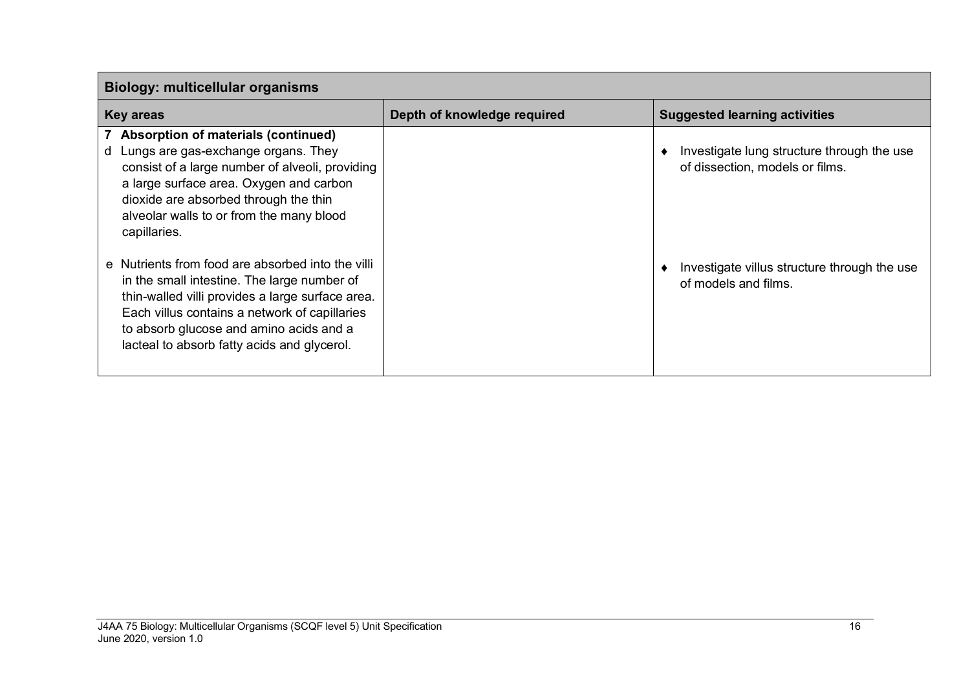| <b>Biology: multicellular organisms</b>                                                                                                                                                                                                                                                         |                             |                                                                               |
|-------------------------------------------------------------------------------------------------------------------------------------------------------------------------------------------------------------------------------------------------------------------------------------------------|-----------------------------|-------------------------------------------------------------------------------|
| <b>Key areas</b>                                                                                                                                                                                                                                                                                | Depth of knowledge required | <b>Suggested learning activities</b>                                          |
| 7 Absorption of materials (continued)<br>d Lungs are gas-exchange organs. They<br>consist of a large number of alveoli, providing<br>a large surface area. Oxygen and carbon<br>dioxide are absorbed through the thin<br>alveolar walls to or from the many blood<br>capillaries.               |                             | Investigate lung structure through the use<br>of dissection, models or films. |
| e Nutrients from food are absorbed into the villi<br>in the small intestine. The large number of<br>thin-walled villi provides a large surface area.<br>Each villus contains a network of capillaries<br>to absorb glucose and amino acids and a<br>lacteal to absorb fatty acids and glycerol. |                             | Investigate villus structure through the use<br>of models and films.          |